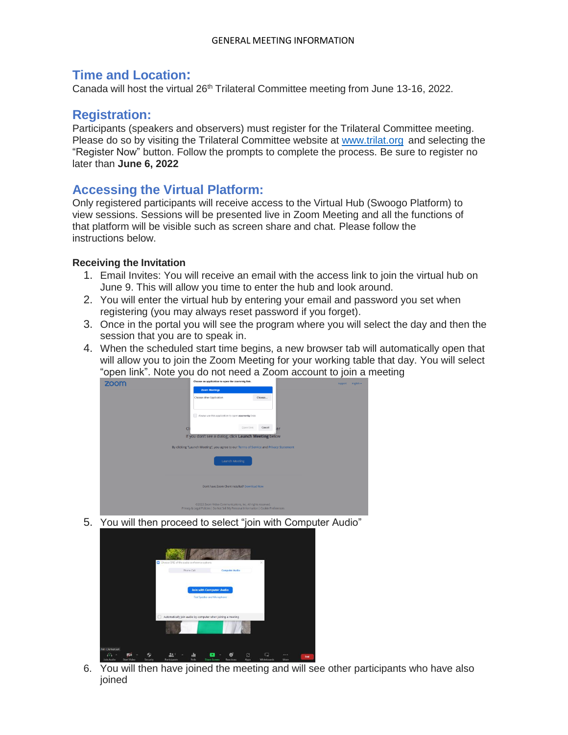## **Time and Location:**

Canada will host the virtual 26<sup>th</sup> Trilateral Committee meeting from June 13-16, 2022.

## **Registration:**

Participants (speakers and observers) must register for the Trilateral Committee meeting. Please do so by visiting the Trilateral Committee website at [www.trilat.org](http://www.trilat.org/) and selecting the "Register Now" button. Follow the prompts to complete the process. Be sure to register no later than **June 6, 2022**

## **Accessing the Virtual Platform:**

Only registered participants will receive access to the Virtual Hub (Swoogo Platform) to view sessions. Sessions will be presented live in Zoom Meeting and all the functions of that platform will be visible such as screen share and chat. Please follow the instructions below.

#### **Receiving the Invitation**

- 1. Email Invites: You will receive an email with the access link to join the virtual hub on June 9. This will allow you time to enter the hub and look around.
- 2. You will enter the virtual hub by entering your email and password you set when registering (you may always reset password if you forget).
- 3. Once in the portal you will see the program where you will select the day and then the session that you are to speak in.
- 4. When the scheduled start time begins, a new browser tab will automatically open that will allow you to join the Zoom Meeting for your working table that day. You will select "open link". Note you do not need a Zoom account to join a meeting



5. You will then proceed to select "join with Computer Audio"



6. You will then have joined the meeting and will see other participants who have also ioined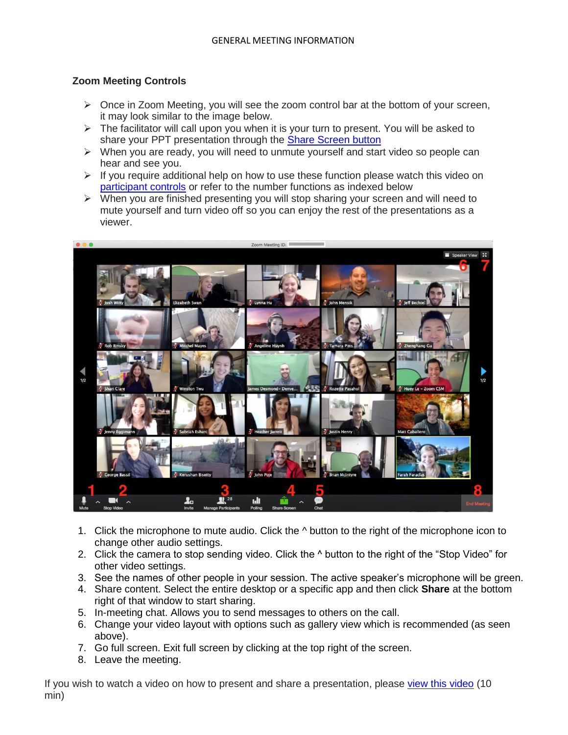### **Zoom Meeting Controls**

- $\triangleright$  Once in Zoom Meeting, you will see the zoom control bar at the bottom of your screen, it may look similar to the image below.
- $\triangleright$  The facilitator will call upon you when it is your turn to present. You will be asked to share your PPT presentation through the [Share Screen button](https://support.zoom.us/hc/en-us/articles/201362153)
- $\triangleright$  When you are ready, you will need to unmute yourself and start video so people can hear and see you.
- $\triangleright$  If you require additional help on how to use these function please watch this video on [participant controls](https://support.zoom.us/hc/en-us/articles/200941109-Participant-controls-in-a-meeting) or refer to the number functions as indexed below
- $\triangleright$  When you are finished presenting you will stop sharing your screen and will need to mute yourself and turn video off so you can enjoy the rest of the presentations as a viewer.



- 1. Click the microphone to mute audio. Click the  $\land$  button to the right of the microphone icon to change other audio settings.
- 2. Click the camera to stop sending video. Click the ^ button to the right of the "Stop Video" for other video settings.
- 3. See the names of other people in your session. The active speaker's microphone will be green.
- 4. Share content. Select the entire desktop or a specific app and then click **Share** at the bottom right of that window to start sharing.
- 5. In-meeting chat. Allows you to send messages to others on the call.
- 6. Change your video layout with options such as gallery view which is recommended (as seen above).
- 7. Go full screen. Exit full screen by clicking at the top right of the screen.
- 8. Leave the meeting.

If you wish to watch a video on how to present and share a presentation, please [view this video](https://www.youtube.com/watch?v=wNOZRa089-U) (10 min)